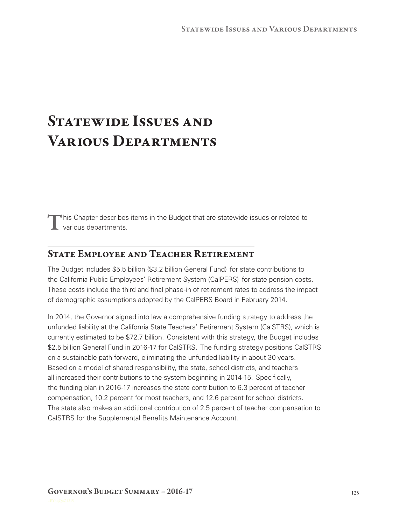# STATEWIDE ISSUES AND Various Departments

 $\blacksquare$  his Chapter describes items in the Budget that are statewide issues or related to **L** various departments.

## State Employee and Teacher Retirement

The Budget includes \$5.5 billion (\$3.2 billion General Fund) for state contributions to the California Public Employees' Retirement System (CalPERS) for state pension costs. These costs include the third and final phase-in of retirement rates to address the impact of demographic assumptions adopted by the CalPERS Board in February 2014.

In 2014, the Governor signed into law a comprehensive funding strategy to address the unfunded liability at the California State Teachers' Retirement System (CalSTRS), which is currently estimated to be \$72.7 billion. Consistent with this strategy, the Budget includes \$2.5 billion General Fund in 2016-17 for CalSTRS. The funding strategy positions CalSTRS on a sustainable path forward, eliminating the unfunded liability in about 30 years. Based on a model of shared responsibility, the state, school districts, and teachers all increased their contributions to the system beginning in 2014‑15. Specifically, the funding plan in 2016‑17 increases the state contribution to 6.3 percent of teacher compensation, 10.2 percent for most teachers, and 12.6 percent for school districts. The state also makes an additional contribution of 2.5 percent of teacher compensation to CalSTRS for the Supplemental Benefits Maintenance Account.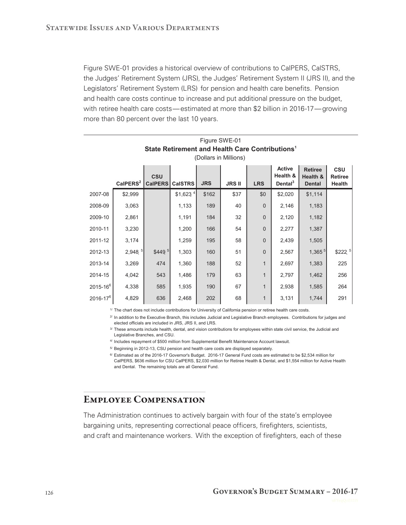Figure SWE‑01 provides a historical overview of contributions to CalPERS, CalSTRS, the Judges' Retirement System (JRS), the Judges' Retirement System II (JRS II), and the Legislators' Retirement System (LRS) for pension and health care benefits. Pension and health care costs continue to increase and put additional pressure on the budget, with retiree health care costs— estimated at more than \$2 billion in 2016-17— growing more than 80 percent over the last 10 years.

| Figure SWE-01<br>State Retirement and Health Care Contributions <sup>1</sup><br>(Dollars in Millions) |                      |                              |                       |            |               |                |                                                  |                                             |                                        |
|-------------------------------------------------------------------------------------------------------|----------------------|------------------------------|-----------------------|------------|---------------|----------------|--------------------------------------------------|---------------------------------------------|----------------------------------------|
|                                                                                                       | CaIPERS <sup>2</sup> | <b>CSU</b><br><b>CalPERS</b> | <b>CalSTRS</b>        | <b>JRS</b> | <b>JRS II</b> | <b>LRS</b>     | <b>Active</b><br>Health &<br>Dental <sup>3</sup> | <b>Retiree</b><br>Health &<br><b>Dental</b> | <b>CSU</b><br><b>Retiree</b><br>Health |
| 2007-08                                                                                               | \$2,999              |                              | $$1,623$ <sup>4</sup> | \$162      | \$37          | \$0            | \$2,020                                          | \$1,114                                     |                                        |
| 2008-09                                                                                               | 3,063                |                              | 1,133                 | 189        | 40            | $\mathbf 0$    | 2,146                                            | 1,183                                       |                                        |
| 2009-10                                                                                               | 2,861                |                              | 1,191                 | 184        | 32            | $\overline{0}$ | 2,120                                            | 1,182                                       |                                        |
| 2010-11                                                                                               | 3,230                |                              | 1,200                 | 166        | 54            | $\Omega$       | 2,277                                            | 1,387                                       |                                        |
| 2011-12                                                                                               | 3,174                |                              | 1,259                 | 195        | 58            | $\overline{0}$ | 2,439                                            | 1,505                                       |                                        |
| 2012-13                                                                                               | 2,948.5              | \$449 <sup>5</sup>           | 1,303                 | 160        | 51            | $\overline{0}$ | 2,567                                            | 1,365 <sup>5</sup>                          | \$222 <sup>5</sup>                     |
| 2013-14                                                                                               | 3,269                | 474                          | 1,360                 | 188        | 52            | 1              | 2,697                                            | 1,383                                       | 225                                    |
| 2014-15                                                                                               | 4,042                | 543                          | 1,486                 | 179        | 63            | $\mathbf{1}$   | 2,797                                            | 1,462                                       | 256                                    |
| $2015 - 16^{6}$                                                                                       | 4,338                | 585                          | 1,935                 | 190        | 67            | $\mathbf{1}$   | 2,938                                            | 1,585                                       | 264                                    |
| $2016 - 17^{6}$                                                                                       | 4,829                | 636                          | 2,468                 | 202        | 68            | $\mathbf{1}$   | 3,131                                            | 1,744                                       | 291                                    |

1/ The chart does not include contributions for University of California pension or retiree health care costs.

2/ In addition to the Executive Branch, this includes Judicial and Legislative Branch employees. Contributions for judges and elected officials are included in JRS, JRS II, and LRS.

<sup>3/</sup> These amounts include health, dental, and vision contributions for employees within state civil service, the Judicial and Legislative Branches, and CSU.

4/ Includes repayment of \$500 million from Supplemental Benefit Maintenance Account lawsuit.

5/ Beginning in 2012-13, CSU pension and health care costs are displayed separately.

6/ Estimated as of the 2016-17 Governor's Budget. 2016-17 General Fund costs are estimated to be \$2,534 million for CalPERS, \$636 million for CSU CalPERS, \$2,030 million for Retiree Health & Dental, and \$1,554 million for Active Health and Dental. The remaining totals are all General Fund.

#### Employee Compensation

The Administration continues to actively bargain with four of the state's employee bargaining units, representing correctional peace officers, firefighters, scientists, and craft and maintenance workers. With the exception of firefighters, each of these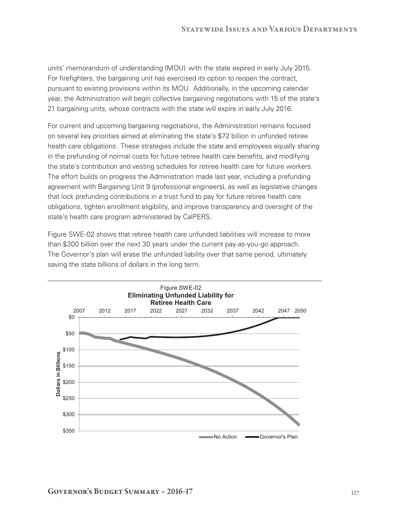units' memorandum of understanding (MOU) with the state expired in early July 2015. For firefighters, the bargaining unit has exercised its option to reopen the contract, pursuant to existing provisions within its MOU. Additionally, in the upcoming calendar year, the Administration will begin collective bargaining negotiations with 15 of the state's 21 bargaining units, whose contracts with the state will expire in early July 2016.

For current and upcoming bargaining negotiations, the Administration remains focused on several key priorities aimed at eliminating the state's \$72 billion in unfunded retiree health care obligations. These strategies include the state and employees equally sharing in the prefunding of normal costs for future retiree health care benefits, and modifying the state's contribution and vesting schedules for retiree health care for future workers. The effort builds on progress the Administration made last year, including a prefunding agreement with Bargaining Unit 9 (professional engineers), as well as legislative changes that lock prefunding contributions in a trust fund to pay for future retiree health care obligations, tighten enrollment eligibility, and improve transparency and oversight of the state's health care program administered by CalPERS.

Figure SWE-02 shows that retiree health care unfunded liabilities will increase to more than \$300 billion over the next 30 years under the current pay-as-you-go approach. The Governor's plan will erase the unfunded liability over that same period, ultimately saving the state billions of dollars in the long term.

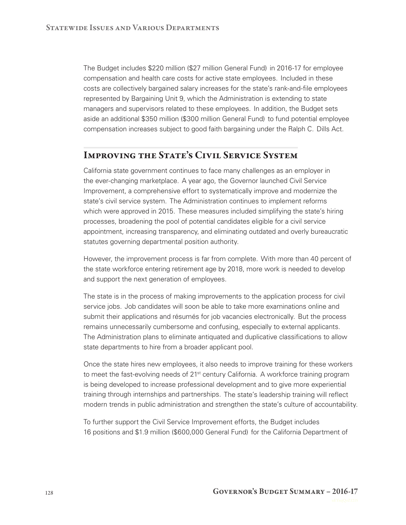The Budget includes \$220 million (\$27 million General Fund) in 2016-17 for employee compensation and health care costs for active state employees. Included in these costs are collectively bargained salary increases for the state's rank-and-file employees represented by Bargaining Unit 9, which the Administration is extending to state managers and supervisors related to these employees. In addition, the Budget sets aside an additional \$350 million (\$300 million General Fund) to fund potential employee compensation increases subject to good faith bargaining under the Ralph C. Dills Act.

#### **Improving the State's Civil Service System**

California state government continues to face many challenges as an employer in the ever-changing marketplace. A year ago, the Governor launched Civil Service Improvement, a comprehensive effort to systematically improve and modernize the state's civil service system. The Administration continues to implement reforms which were approved in 2015. These measures included simplifying the state's hiring processes, broadening the pool of potential candidates eligible for a civil service appointment, increasing transparency, and eliminating outdated and overly bureaucratic statutes governing departmental position authority.

However, the improvement process is far from complete. With more than 40 percent of the state workforce entering retirement age by 2018, more work is needed to develop and support the next generation of employees.

The state is in the process of making improvements to the application process for civil service jobs. Job candidates will soon be able to take more examinations online and submit their applications and résumés for job vacancies electronically. But the process remains unnecessarily cumbersome and confusing, especially to external applicants. The Administration plans to eliminate antiquated and duplicative classifications to allow state departments to hire from a broader applicant pool.

Once the state hires new employees, it also needs to improve training for these workers to meet the fast-evolving needs of 21<sup>st</sup> century California. A workforce training program is being developed to increase professional development and to give more experiential training through internships and partnerships. The state's leadership training will reflect modern trends in public administration and strengthen the state's culture of accountability.

To further support the Civil Service Improvement efforts, the Budget includes 16 positions and \$1.9 million (\$600,000 General Fund) for the California Department of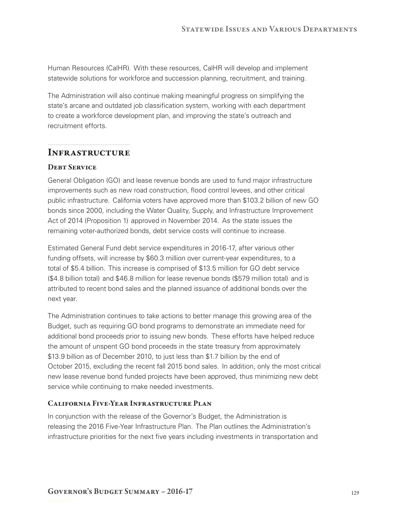Human Resources (CalHR). With these resources, CalHR will develop and implement statewide solutions for workforce and succession planning, recruitment, and training.

The Administration will also continue making meaningful progress on simplifying the state's arcane and outdated job classification system, working with each department to create a workforce development plan, and improving the state's outreach and recruitment efforts.

## **Infrastructure**

#### **DERT SERVICE**

General Obligation (GO) and lease revenue bonds are used to fund major infrastructure improvements such as new road construction, flood control levees, and other critical public infrastructure. California voters have approved more than \$103.2 billion of new GO bonds since 2000, including the Water Quality, Supply, and Infrastructure Improvement Act of 2014 (Proposition 1) approved in November 2014. As the state issues the remaining voter-authorized bonds, debt service costs will continue to increase.

Estimated General Fund debt service expenditures in 2016-17, after various other funding offsets, will increase by \$60.3 million over current-year expenditures, to a total of \$5.4 billion. This increase is comprised of \$13.5 million for GO debt service (\$4.8 billion total) and \$46.8 million for lease revenue bonds (\$579 million total) and is attributed to recent bond sales and the planned issuance of additional bonds over the next year.

The Administration continues to take actions to better manage this growing area of the Budget, such as requiring GO bond programs to demonstrate an immediate need for additional bond proceeds prior to issuing new bonds. These efforts have helped reduce the amount of unspent GO bond proceeds in the state treasury from approximately \$13.9 billion as of December 2010, to just less than \$1.7 billion by the end of October 2015, excluding the recent fall 2015 bond sales. In addition, only the most critical new lease revenue bond funded projects have been approved, thus minimizing new debt service while continuing to make needed investments.

#### **California Five-Year Infrastructure Plan**

In conjunction with the release of the Governor's Budget, the Administration is releasing the 2016 Five-Year Infrastructure Plan. The Plan outlines the Administration's infrastructure priorities for the next five years including investments in transportation and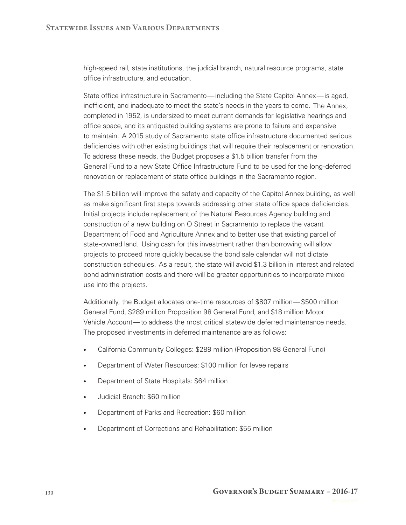high-speed rail, state institutions, the judicial branch, natural resource programs, state office infrastructure, and education.

State office infrastructure in Sacramento— including the State Capitol Annex— is aged, inefficient, and inadequate to meet the state's needs in the years to come. The Annex, completed in 1952, is undersized to meet current demands for legislative hearings and office space, and its antiquated building systems are prone to failure and expensive to maintain. A 2015 study of Sacramento state office infrastructure documented serious deficiencies with other existing buildings that will require their replacement or renovation. To address these needs, the Budget proposes a \$1.5 billion transfer from the General Fund to a new State Office Infrastructure Fund to be used for the long-deferred renovation or replacement of state office buildings in the Sacramento region.

The \$1.5 billion will improve the safety and capacity of the Capitol Annex building, as well as make significant first steps towards addressing other state office space deficiencies. Initial projects include replacement of the Natural Resources Agency building and construction of a new building on O Street in Sacramento to replace the vacant Department of Food and Agriculture Annex and to better use that existing parcel of state-owned land. Using cash for this investment rather than borrowing will allow projects to proceed more quickly because the bond sale calendar will not dictate construction schedules. As a result, the state will avoid \$1.3 billion in interest and related bond administration costs and there will be greater opportunities to incorporate mixed use into the projects.

Additionally, the Budget allocates one-time resources of \$807 million— \$500 million General Fund, \$289 million Proposition 98 General Fund, and \$18 million Motor Vehicle Account— to address the most critical statewide deferred maintenance needs. The proposed investments in deferred maintenance are as follows:

- California Community Colleges: \$289 million (Proposition 98 General Fund)
- Department of Water Resources: \$100 million for levee repairs
- Department of State Hospitals: \$64 million
- Judicial Branch: \$60 million
- Department of Parks and Recreation: \$60 million
- Department of Corrections and Rehabilitation: \$55 million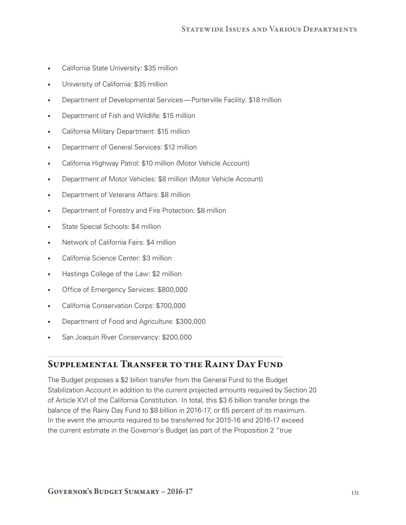- California State University: \$35 million
- University of California: \$35 million
- Department of Developmental Services— Porterville Facility: \$18 million
- Department of Fish and Wildlife: \$15 million
- California Military Department: \$15 million
- Department of General Services: \$12 million
- California Highway Patrol: \$10 million (Motor Vehicle Account)
- Department of Motor Vehicles: \$8 million (Motor Vehicle Account)
- Department of Veterans Affairs: \$8 million
- Department of Forestry and Fire Protection: \$8 million
- State Special Schools: \$4 million
- Network of California Fairs: \$4 million
- California Science Center: \$3 million
- Hastings College of the Law: \$2 million
- Office of Emergency Services: \$800,000
- California Conservation Corps: \$700,000
- Department of Food and Agriculture: \$300,000
- San Joaquin River Conservancy: \$200,000

## **Supplemental Transfer to the Rainy Day Fund**

The Budget proposes a \$2 billion transfer from the General Fund to the Budget Stabilization Account in addition to the current projected amounts required by Section 20 of Article XVI of the California Constitution. In total, this \$3.6 billion transfer brings the balance of the Rainy Day Fund to \$8 billion in 2016-17, or 65 percent of its maximum. In the event the amounts required to be transferred for 2015-16 and 2016-17 exceed the current estimate in the Governor's Budget (as part of the Proposition 2 "true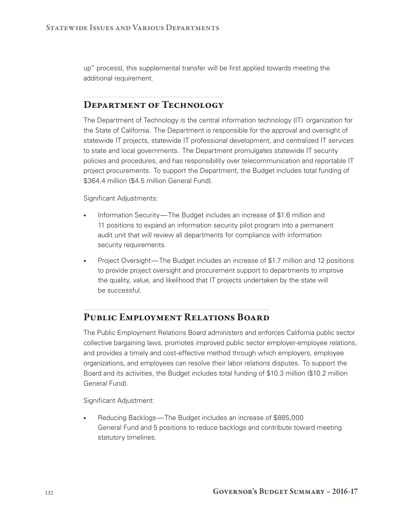up" process), this supplemental transfer will be first applied towards meeting the additional requirement.

# **Department of Technology**

The Department of Technology is the central information technology (IT) organization for the State of California. The Department is responsible for the approval and oversight of statewide IT projects, statewide IT professional development, and centralized IT services to state and local governments. The Department promulgates statewide IT security policies and procedures, and has responsibility over telecommunication and reportable IT project procurements. To support the Department, the Budget includes total funding of \$364.4 million (\$4.5 million General Fund).

Significant Adjustments:

- Information Security— The Budget includes an increase of \$1.6 million and 11 positions to expand an information security pilot program into a permanent audit unit that will review all departments for compliance with information security requirements.
- Project Oversight—The Budget includes an increase of \$1.7 million and 12 positions to provide project oversight and procurement support to departments to improve the quality, value, and likelihood that IT projects undertaken by the state will be successful.

# **Public Employment Relations Board**

The Public Employment Relations Board administers and enforces California public sector collective bargaining laws, promotes improved public sector employer-employee relations, and provides a timely and cost-effective method through which employers, employee organizations, and employees can resolve their labor relations disputes. To support the Board and its activities, the Budget includes total funding of \$10.3 million (\$10.2 million General Fund).

Significant Adjustment:

• Reducing Backlogs— The Budget includes an increase of \$885,000 General Fund and 5 positions to reduce backlogs and contribute toward meeting statutory timelines.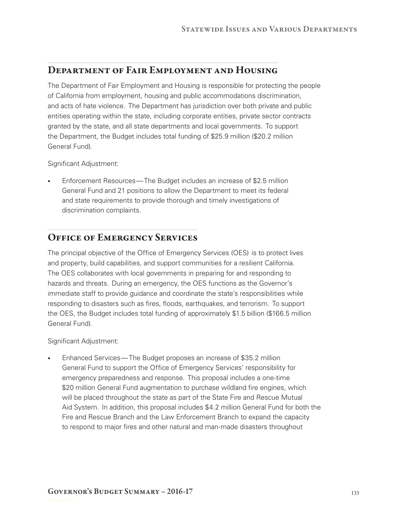#### **Department of Fair Employment and Housing**

The Department of Fair Employment and Housing is responsible for protecting the people of California from employment, housing and public accommodations discrimination, and acts of hate violence. The Department has jurisdiction over both private and public entities operating within the state, including corporate entities, private sector contracts granted by the state, and all state departments and local governments. To support the Department, the Budget includes total funding of \$25.9 million (\$20.2 million General Fund).

Significant Adjustment:

• Enforcement Resources— The Budget includes an increase of \$2.5 million General Fund and 21 positions to allow the Department to meet its federal and state requirements to provide thorough and timely investigations of discrimination complaints.

## **Office of Emergency Services**

The principal objective of the Office of Emergency Services (OES) is to protect lives and property, build capabilities, and support communities for a resilient California. The OES collaborates with local governments in preparing for and responding to hazards and threats. During an emergency, the OES functions as the Governor's immediate staff to provide guidance and coordinate the state's responsibilities while responding to disasters such as fires, floods, earthquakes, and terrorism. To support the OES, the Budget includes total funding of approximately \$1.5 billion (\$166.5 million General Fund).

Significant Adjustment:

• Enhanced Services— The Budget proposes an increase of \$35.2 million General Fund to support the Office of Emergency Services' responsibility for emergency preparedness and response. This proposal includes a one-time \$20 million General Fund augmentation to purchase wildland fire engines, which will be placed throughout the state as part of the State Fire and Rescue Mutual Aid System. In addition, this proposal includes \$4.2 million General Fund for both the Fire and Rescue Branch and the Law Enforcement Branch to expand the capacity to respond to major fires and other natural and man-made disasters throughout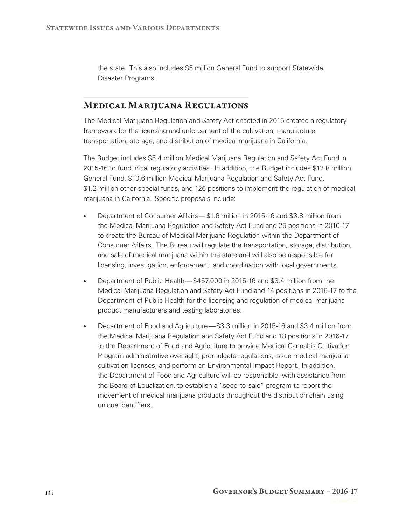the state. This also includes \$5 million General Fund to support Statewide Disaster Programs.

# **Medical Marijuana Regulations**

The Medical Marijuana Regulation and Safety Act enacted in 2015 created a regulatory framework for the licensing and enforcement of the cultivation, manufacture, transportation, storage, and distribution of medical marijuana in California.

The Budget includes \$5.4 million Medical Marijuana Regulation and Safety Act Fund in 2015-16 to fund initial regulatory activities. In addition, the Budget includes \$12.8 million General Fund, \$10.6 million Medical Marijuana Regulation and Safety Act Fund, \$1.2 million other special funds, and 126 positions to implement the regulation of medical marijuana in California. Specific proposals include:

- Department of Consumer Affairs— \$1.6 million in 2015-16 and \$3.8 million from the Medical Marijuana Regulation and Safety Act Fund and 25 positions in 2016-17 to create the Bureau of Medical Marijuana Regulation within the Department of Consumer Affairs. The Bureau will regulate the transportation, storage, distribution, and sale of medical marijuana within the state and will also be responsible for licensing, investigation, enforcement, and coordination with local governments.
- Department of Public Health— \$457,000 in 2015-16 and \$3.4 million from the Medical Marijuana Regulation and Safety Act Fund and 14 positions in 2016-17 to the Department of Public Health for the licensing and regulation of medical marijuana product manufacturers and testing laboratories.
- Department of Food and Agriculture— \$3.3 million in 2015-16 and \$3.4 million from the Medical Marijuana Regulation and Safety Act Fund and 18 positions in 2016-17 to the Department of Food and Agriculture to provide Medical Cannabis Cultivation Program administrative oversight, promulgate regulations, issue medical marijuana cultivation licenses, and perform an Environmental Impact Report. In addition, the Department of Food and Agriculture will be responsible, with assistance from the Board of Equalization, to establish a "seed-to-sale" program to report the movement of medical marijuana products throughout the distribution chain using unique identifiers.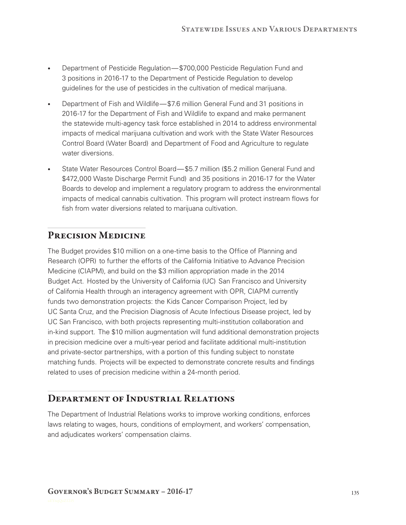- Department of Pesticide Regulation— \$700,000 Pesticide Regulation Fund and 3 positions in 2016-17 to the Department of Pesticide Regulation to develop guidelines for the use of pesticides in the cultivation of medical marijuana.
- Department of Fish and Wildlife— \$7.6 million General Fund and 31 positions in 2016-17 for the Department of Fish and Wildlife to expand and make permanent the statewide multi-agency task force established in 2014 to address environmental impacts of medical marijuana cultivation and work with the State Water Resources Control Board (Water Board) and Department of Food and Agriculture to regulate water diversions.
- State Water Resources Control Board— \$5.7 million (\$5.2 million General Fund and \$472,000 Waste Discharge Permit Fund) and 35 positions in 2016-17 for the Water Boards to develop and implement a regulatory program to address the environmental impacts of medical cannabis cultivation. This program will protect instream flows for fish from water diversions related to marijuana cultivation.

# **Precision Medicine**

The Budget provides \$10 million on a one-time basis to the Office of Planning and Research (OPR) to further the efforts of the California Initiative to Advance Precision Medicine (CIAPM), and build on the \$3 million appropriation made in the 2014 Budget Act. Hosted by the University of California (UC) San Francisco and University of California Health through an interagency agreement with OPR, CIAPM currently funds two demonstration projects: the Kids Cancer Comparison Project, led by UC Santa Cruz, and the Precision Diagnosis of Acute Infectious Disease project, led by UC San Francisco, with both projects representing multi-institution collaboration and in-kind support. The \$10 million augmentation will fund additional demonstration projects in precision medicine over a multi-year period and facilitate additional multi-institution and private-sector partnerships, with a portion of this funding subject to nonstate matching funds. Projects will be expected to demonstrate concrete results and findings related to uses of precision medicine within a 24-month period.

# **Department of Industrial Relations**

The Department of Industrial Relations works to improve working conditions, enforces laws relating to wages, hours, conditions of employment, and workers' compensation, and adjudicates workers' compensation claims.